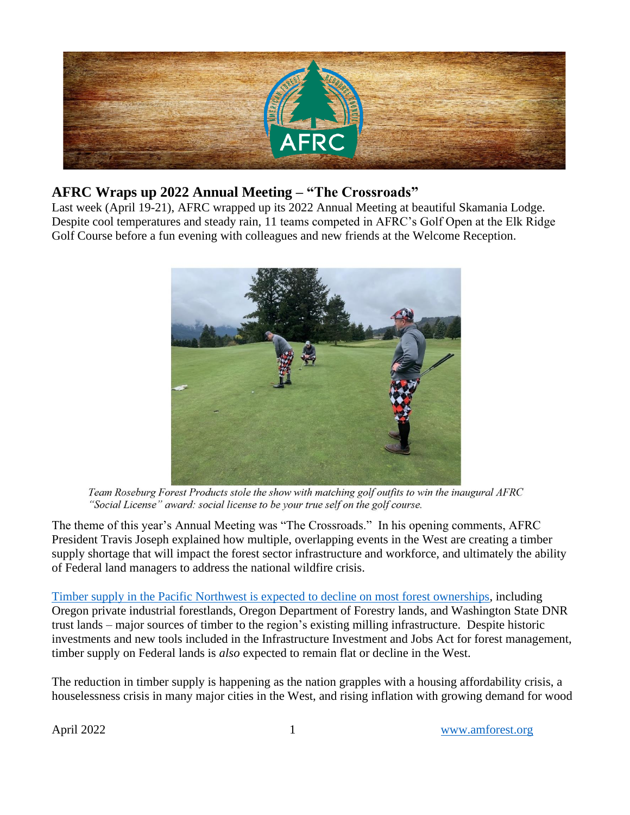

# **AFRC Wraps up 2022 Annual Meeting – "The Crossroads"**

Last week (April 19-21), AFRC wrapped up its 2022 Annual Meeting at beautiful Skamania Lodge. Despite cool temperatures and steady rain, 11 teams competed in AFRC's Golf Open at the Elk Ridge Golf Course before a fun evening with colleagues and new friends at the Welcome Reception.



Team Roseburg Forest Products stole the show with matching golf outfits to win the inaugural AFRC "Social License" award: social license to be your true self on the golf course.

The theme of this year's Annual Meeting was "The Crossroads." In his opening comments, AFRC President Travis Joseph explained how multiple, overlapping events in the West are creating a timber supply shortage that will impact the forest sector infrastructure and workforce, and ultimately the ability of Federal land managers to address the national wildfire crisis.

Timber supply in the Pacific [Northwest is expected to decline on most forest ownerships,](https://www.forest2market.com/blog/are-you-planning-for-the-reduction-in-northwest-timber-supply) including Oregon private industrial forestlands, Oregon Department of Forestry lands, and Washington State DNR trust lands – major sources of timber to the region's existing milling infrastructure. Despite historic investments and new tools included in the Infrastructure Investment and Jobs Act for forest management, timber supply on Federal lands is *also* expected to remain flat or decline in the West.

The reduction in timber supply is happening as the nation grapples with a housing affordability crisis, a houselessness crisis in many major cities in the West, and rising inflation with growing demand for wood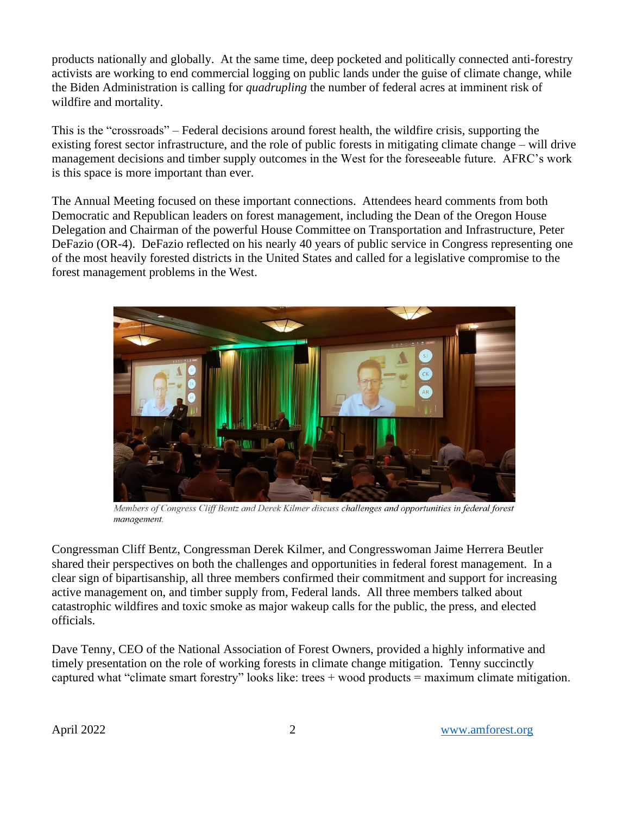products nationally and globally. At the same time, deep pocketed and politically connected anti-forestry activists are working to end commercial logging on public lands under the guise of climate change, while the Biden Administration is calling for *quadrupling* the number of federal acres at imminent risk of wildfire and mortality.

This is the "crossroads" – Federal decisions around forest health, the wildfire crisis, supporting the existing forest sector infrastructure, and the role of public forests in mitigating climate change – will drive management decisions and timber supply outcomes in the West for the foreseeable future. AFRC's work is this space is more important than ever.

The Annual Meeting focused on these important connections. Attendees heard comments from both Democratic and Republican leaders on forest management, including the Dean of the Oregon House Delegation and Chairman of the powerful House Committee on Transportation and Infrastructure, Peter DeFazio (OR-4). DeFazio reflected on his nearly 40 years of public service in Congress representing one of the most heavily forested districts in the United States and called for a legislative compromise to the forest management problems in the West.



Members of Congress Cliff Bentz and Derek Kilmer discuss challenges and opportunities in federal forest management.

Congressman Cliff Bentz, Congressman Derek Kilmer, and Congresswoman Jaime Herrera Beutler shared their perspectives on both the challenges and opportunities in federal forest management. In a clear sign of bipartisanship, all three members confirmed their commitment and support for increasing active management on, and timber supply from, Federal lands. All three members talked about catastrophic wildfires and toxic smoke as major wakeup calls for the public, the press, and elected officials.

Dave Tenny, CEO of the National Association of Forest Owners, provided a highly informative and timely presentation on the role of working forests in climate change mitigation. Tenny succinctly captured what "climate smart forestry" looks like: trees  $+$  wood products  $=$  maximum climate mitigation.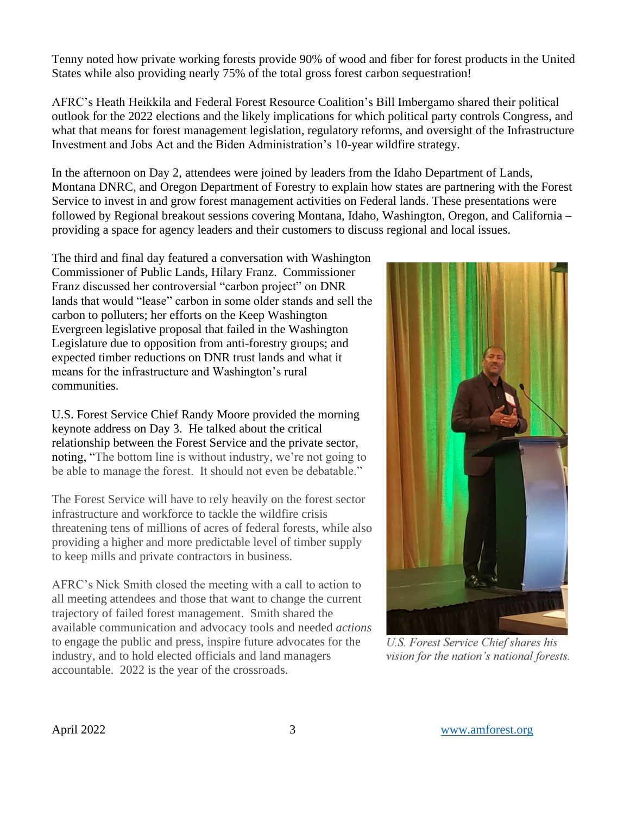Tenny noted how private working forests provide 90% of wood and fiber for forest products in the United States while also providing nearly 75% of the total gross forest carbon sequestration!

AFRC's Heath Heikkila and Federal Forest Resource Coalition's Bill Imbergamo shared their political outlook for the 2022 elections and the likely implications for which political party controls Congress, and what that means for forest management legislation, regulatory reforms, and oversight of the Infrastructure Investment and Jobs Act and the Biden Administration's 10-year wildfire strategy.

In the afternoon on Day 2, attendees were joined by leaders from the Idaho Department of Lands, Montana DNRC, and Oregon Department of Forestry to explain how states are partnering with the Forest Service to invest in and grow forest management activities on Federal lands. These presentations were followed by Regional breakout sessions covering Montana, Idaho, Washington, Oregon, and California – providing a space for agency leaders and their customers to discuss regional and local issues.

The third and final day featured a conversation with Washington Commissioner of Public Lands, Hilary Franz. Commissioner Franz discussed her controversial "carbon project" on DNR lands that would "lease" carbon in some older stands and sell the carbon to polluters; her efforts on the Keep Washington Evergreen legislative proposal that failed in the Washington Legislature due to opposition from anti-forestry groups; and expected timber reductions on DNR trust lands and what it means for the infrastructure and Washington's rural communities.

U.S. Forest Service Chief Randy Moore provided the morning keynote address on Day 3. He talked about the critical relationship between the Forest Service and the private sector, noting, "The bottom line is without industry, we're not going to be able to manage the forest. It should not even be debatable."

The Forest Service will have to rely heavily on the forest sector infrastructure and workforce to tackle the wildfire crisis threatening tens of millions of acres of federal forests, while also providing a higher and more predictable level of timber supply to keep mills and private contractors in business.

AFRC's Nick Smith closed the meeting with a call to action to all meeting attendees and those that want to change the current trajectory of failed forest management. Smith shared the available communication and advocacy tools and needed *actions* to engage the public and press, inspire future advocates for the industry, and to hold elected officials and land managers accountable. 2022 is the year of the crossroads.



**U.S. Forest Service Chief shares his** vision for the nation's national forests.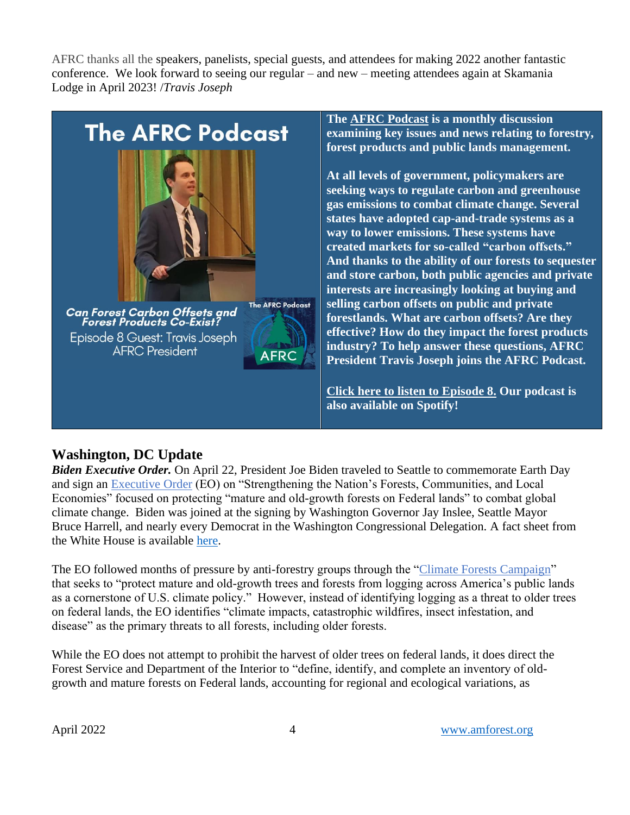AFRC thanks all the speakers, panelists, special guests, and attendees for making 2022 another fantastic conference. We look forward to seeing our regular – and new – meeting attendees again at Skamania Lodge in April 2023! /*Travis Joseph*



**The [AFRC Podcast](https://anchor.fm/afrc-forestry/) is a monthly discussion examining key issues and news relating to forestry, forest products and public lands management.**

**At all levels of government, policymakers are seeking ways to regulate carbon and greenhouse gas emissions to combat climate change. Several states have adopted cap-and-trade systems as a way to lower emissions. These systems have created markets for so-called "carbon offsets." And thanks to the ability of our forests to sequester and store carbon, both public agencies and private interests are increasingly looking at buying and selling carbon offsets on public and private forestlands. What are carbon offsets? Are they effective? How do they impact the forest products industry? To help answer these questions, AFRC President Travis Joseph joins the AFRC Podcast.**

**[Click here to listen to Episode 8.](https://anchor.fm/afrc-forestry/episodes/Episode-8-Can-Forest-Carbon-Offsets-and-Forest-Products-Co-Exist-e1hrp4o) Our podcast is also available on Spotify!**

# **Washington, DC Update**

*Biden Executive Order.* On April 22, President Joe Biden traveled to Seattle to commemorate Earth Day and sign an [Executive Order](https://www.whitehouse.gov/briefing-room/presidential-actions/2022/04/22/executive-order-on-strengthening-the-nations-forests-communities-and-local-economies/) (EO) on "Strengthening the Nation's Forests, Communities, and Local Economies" focused on protecting "mature and old-growth forests on Federal lands" to combat global climate change. Biden was joined at the signing by Washington Governor Jay Inslee, Seattle Mayor Bruce Harrell, and nearly every Democrat in the Washington Congressional Delegation. A fact sheet from the White House is available [here.](https://www.whitehouse.gov/briefing-room/statements-releases/2022/04/22/fact-sheet-president-biden-signs-executive-order-to-strengthen-americas-forests-boost-wildfire-resilience-and-combat-global-deforestation/)

The EO followed months of pressure by anti-forestry groups through the ["Climate Forests Campaign"](https://www.climate-forests.org/) that seeks to "protect mature and old-growth trees and forests from logging across America's public lands as a cornerstone of U.S. climate policy." However, instead of identifying logging as a threat to older trees on federal lands, the EO identifies "climate impacts, catastrophic wildfires, insect infestation, and disease" as the primary threats to all forests, including older forests.

While the EO does not attempt to prohibit the harvest of older trees on federal lands, it does direct the Forest Service and Department of the Interior to "define, identify, and complete an inventory of oldgrowth and mature forests on Federal lands, accounting for regional and ecological variations, as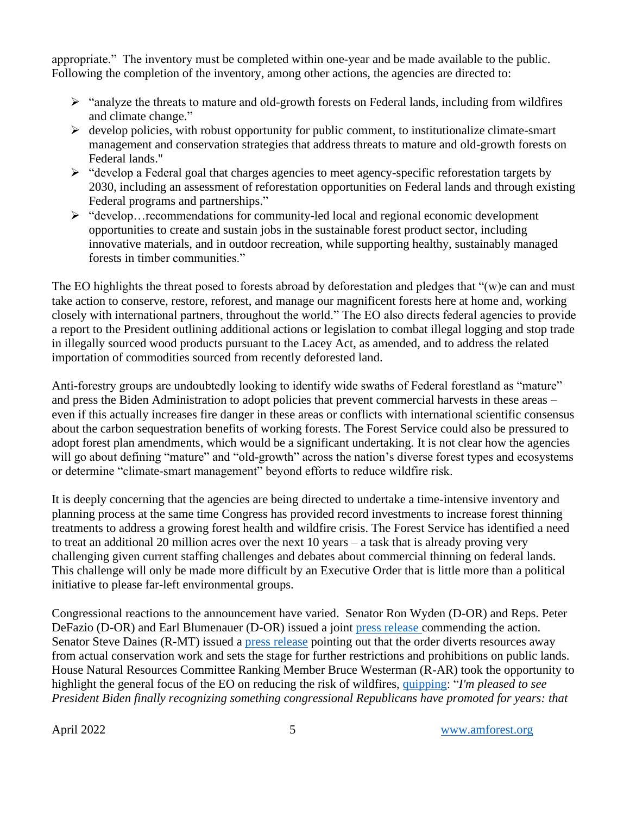appropriate." The inventory must be completed within one-year and be made available to the public. Following the completion of the inventory, among other actions, the agencies are directed to:

- ➢ "analyze the threats to mature and old-growth forests on Federal lands, including from wildfires and climate change."
- $\triangleright$  develop policies, with robust opportunity for public comment, to institutionalize climate-smart management and conservation strategies that address threats to mature and old-growth forests on Federal lands."
- ➢ "develop a Federal goal that charges agencies to meet agency-specific reforestation targets by 2030, including an assessment of reforestation opportunities on Federal lands and through existing Federal programs and partnerships."
- ➢ "develop…recommendations for community-led local and regional economic development opportunities to create and sustain jobs in the sustainable forest product sector, including innovative materials, and in outdoor recreation, while supporting healthy, sustainably managed forests in timber communities."

The EO highlights the threat posed to forests abroad by deforestation and pledges that "(w)e can and must take action to conserve, restore, reforest, and manage our magnificent forests here at home and, working closely with international partners, throughout the world." The EO also directs federal agencies to provide a report to the President outlining additional actions or legislation to combat illegal logging and stop trade in illegally sourced wood products pursuant to the Lacey Act, as amended, and to address the related importation of commodities sourced from recently deforested land.

Anti-forestry groups are undoubtedly looking to identify wide swaths of Federal forestland as "mature" and press the Biden Administration to adopt policies that prevent commercial harvests in these areas – even if this actually increases fire danger in these areas or conflicts with international scientific consensus about the carbon sequestration benefits of working forests. The Forest Service could also be pressured to adopt forest plan amendments, which would be a significant undertaking. It is not clear how the agencies will go about defining "mature" and "old-growth" across the nation's diverse forest types and ecosystems or determine "climate-smart management" beyond efforts to reduce wildfire risk.

It is deeply concerning that the agencies are being directed to undertake a time-intensive inventory and planning process at the same time Congress has provided record investments to increase forest thinning treatments to address a growing forest health and wildfire crisis. The Forest Service has identified a need to treat an additional 20 million acres over the next 10 years – a task that is already proving very challenging given current staffing challenges and debates about commercial thinning on federal lands. This challenge will only be made more difficult by an Executive Order that is little more than a political initiative to please far-left environmental groups.

Congressional reactions to the announcement have varied. Senator Ron Wyden (D-OR) and Reps. Peter DeFazio (D-OR) and Earl Blumenauer (D-OR) issued a joint [press release c](https://blumenauer.house.gov/media-center/press-releases/wyden-blumenauer-defazio-applaud-administration-s-actions-focus-efforts)ommending the action. Senator Steve Daines (R-MT) issued a [press release](https://www.daines.senate.gov/news/press-releases/daines-to-biden-more-paperwork-and-more-red-tape-wont-help-our-forests) pointing out that the order diverts resources away from actual conservation work and sets the stage for further restrictions and prohibitions on public lands. House Natural Resources Committee Ranking Member Bruce Westerman (R-AR) took the opportunity to highlight the general focus of the EO on reducing the risk of wildfires, [quipping:](https://republicans-naturalresources.house.gov/newsroom/documentsingle.aspx?DocumentID=410971) "*I'm pleased to see President Biden finally recognizing something congressional Republicans have promoted for years: that*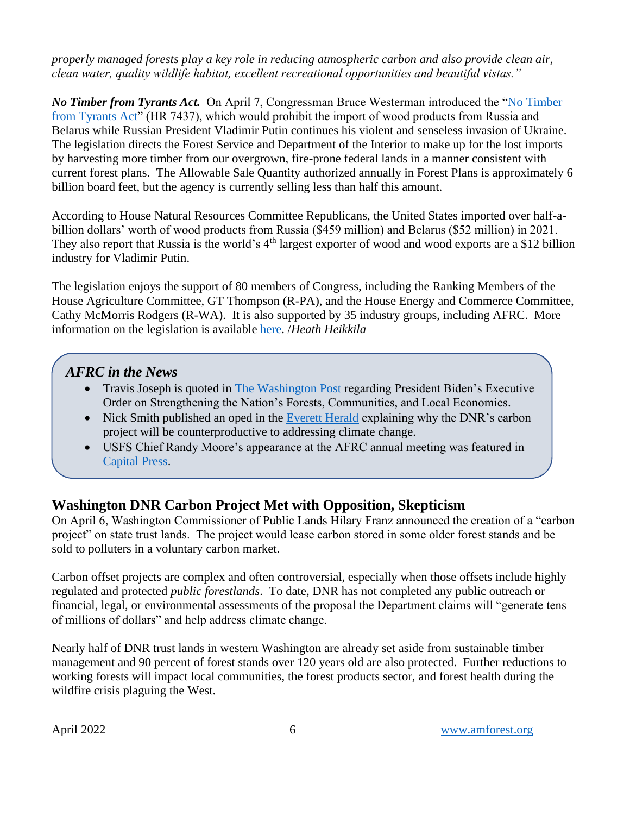### *properly managed forests play a key role in reducing atmospheric carbon and also provide clean air, clean water, quality wildlife habitat, excellent recreational opportunities and beautiful vistas."*

*No Timber from Tyrants Act.* On April 7, Congressman Bruce Westerman introduced the ["No Timber](https://republicans-naturalresources.house.gov/uploadedfiles/no_timber_from_tyrants_act_-_text.pdf)  [from Tyrants Act"](https://republicans-naturalresources.house.gov/uploadedfiles/no_timber_from_tyrants_act_-_text.pdf) (HR 7437), which would prohibit the import of wood products from Russia and Belarus while Russian President Vladimir Putin continues his violent and senseless invasion of Ukraine. The legislation directs the Forest Service and Department of the Interior to make up for the lost imports by harvesting more timber from our overgrown, fire-prone federal lands in a manner consistent with current forest plans. The Allowable Sale Quantity authorized annually in Forest Plans is approximately 6 billion board feet, but the agency is currently selling less than half this amount.

According to House Natural Resources Committee Republicans, the United States imported over half-abillion dollars' worth of wood products from Russia (\$459 million) and Belarus (\$52 million) in 2021. They also report that Russia is the world's 4<sup>th</sup> largest exporter of wood and wood exports are a \$12 billion industry for Vladimir Putin.

The legislation enjoys the support of 80 members of Congress, including the Ranking Members of the House Agriculture Committee, GT Thompson (R-PA), and the House Energy and Commerce Committee, Cathy McMorris Rodgers (R-WA). It is also supported by 35 industry groups, including AFRC. More information on the legislation is available [here.](https://republicans-naturalresources.house.gov/newsroom/documentsingle.aspx?DocumentID=410921) /*Heath Heikkila*

## *AFRC in the News*

- Travis Joseph is quoted in [The Washington Post](https://www.washingtonpost.com/climate-solutions/2022/04/21/biden-old-growth-forest-order/) regarding President Biden's Executive Order on Strengthening the Nation's Forests, Communities, and Local Economies.
- Nick Smith published an oped in the [Everett Herald](https://www.heraldnet.com/opinion/comment-using-forests-for-carbon-credits-may-defeat-purpose/) explaining why the DNR's carbon project will be counterproductive to addressing climate change.
- USFS Chief Randy Moore's appearance at the AFRC annual meeting was featured in [Capital Press.](https://www.capitalpress.com/ag_sectors/timber/usfs-chief-timber-industry-needed-to-manage-national-forests/article_903bec00-c1b0-11ec-a408-b3e7275fbd59.html)

# **Washington DNR Carbon Project Met with Opposition, Skepticism**

On April 6, Washington Commissioner of Public Lands Hilary Franz announced the creation of a "carbon project" on state trust lands. The project would lease carbon stored in some older forest stands and be sold to polluters in a voluntary carbon market.

Carbon offset projects are complex and often controversial, especially when those offsets include highly regulated and protected *public forestlands*. To date, DNR has not completed any public outreach or financial, legal, or environmental assessments of the proposal the Department claims will "generate tens of millions of dollars" and help address climate change.

Nearly half of DNR trust lands in western Washington are already set aside from sustainable timber management and 90 percent of forest stands over 120 years old are also protected. Further reductions to working forests will impact local communities, the forest products sector, and forest health during the wildfire crisis plaguing the West.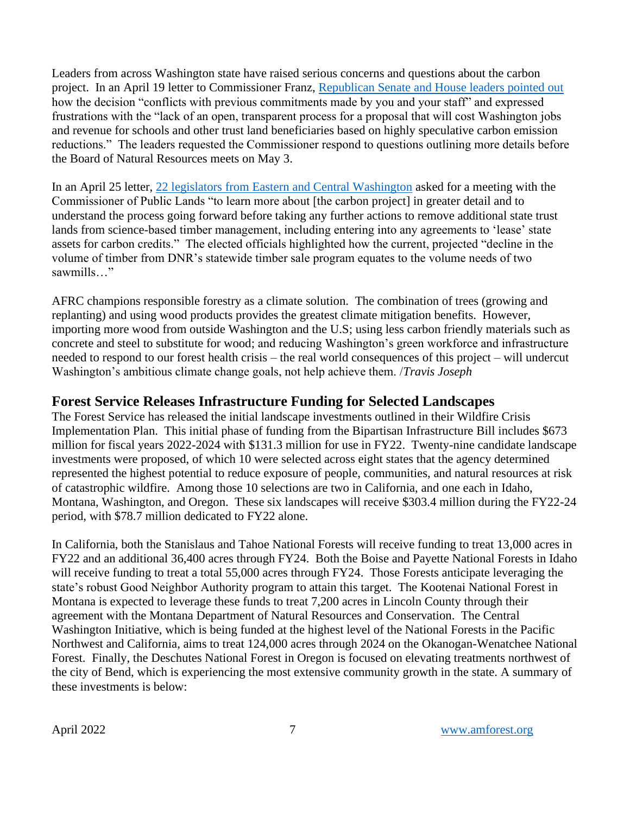Leaders from across Washington state have raised serious concerns and questions about the carbon project. In an April 19 letter to Commissioner Franz, [Republican Senate and House leaders pointed out](https://amforest.org/wp-content/uploads/2022/04/letter-to-Commissioner-Franz-041922.pdf) how the decision "conflicts with previous commitments made by you and your staff" and expressed frustrations with the "lack of an open, transparent process for a proposal that will cost Washington jobs and revenue for schools and other trust land beneficiaries based on highly speculative carbon emission reductions." The leaders requested the Commissioner respond to questions outlining more details before the Board of Natural Resources meets on May 3.

In an April 25 letter, [22 legislators from Eastern and Central Washington](https://amforest.org/wp-content/uploads/2022/04/4.25.22-Commissioner-Franz-DNR-state-trust-lands-letter.pdf) asked for a meeting with the Commissioner of Public Lands "to learn more about [the carbon project] in greater detail and to understand the process going forward before taking any further actions to remove additional state trust lands from science-based timber management, including entering into any agreements to 'lease' state assets for carbon credits." The elected officials highlighted how the current, projected "decline in the volume of timber from DNR's statewide timber sale program equates to the volume needs of two sawmills…"

AFRC champions responsible forestry as a climate solution. The combination of trees (growing and replanting) and using wood products provides the greatest climate mitigation benefits. However, importing more wood from outside Washington and the U.S; using less carbon friendly materials such as concrete and steel to substitute for wood; and reducing Washington's green workforce and infrastructure needed to respond to our forest health crisis – the real world consequences of this project – will undercut Washington's ambitious climate change goals, not help achieve them. /*Travis Joseph*

## **Forest Service Releases Infrastructure Funding for Selected Landscapes**

The Forest Service has released the initial landscape investments outlined in their Wildfire Crisis Implementation Plan. This initial phase of funding from the Bipartisan Infrastructure Bill includes \$673 million for fiscal years 2022-2024 with \$131.3 million for use in FY22. Twenty-nine candidate landscape investments were proposed, of which 10 were selected across eight states that the agency determined represented the highest potential to reduce exposure of people, communities, and natural resources at risk of catastrophic wildfire. Among those 10 selections are two in California, and one each in Idaho, Montana, Washington, and Oregon. These six landscapes will receive \$303.4 million during the FY22-24 period, with \$78.7 million dedicated to FY22 alone.

In California, both the Stanislaus and Tahoe National Forests will receive funding to treat 13,000 acres in FY22 and an additional 36,400 acres through FY24. Both the Boise and Payette National Forests in Idaho will receive funding to treat a total 55,000 acres through FY24. Those Forests anticipate leveraging the state's robust Good Neighbor Authority program to attain this target. The Kootenai National Forest in Montana is expected to leverage these funds to treat 7,200 acres in Lincoln County through their agreement with the Montana Department of Natural Resources and Conservation. The Central Washington Initiative, which is being funded at the highest level of the National Forests in the Pacific Northwest and California, aims to treat 124,000 acres through 2024 on the Okanogan-Wenatchee National Forest. Finally, the Deschutes National Forest in Oregon is focused on elevating treatments northwest of the city of Bend, which is experiencing the most extensive community growth in the state. A summary of these investments is below: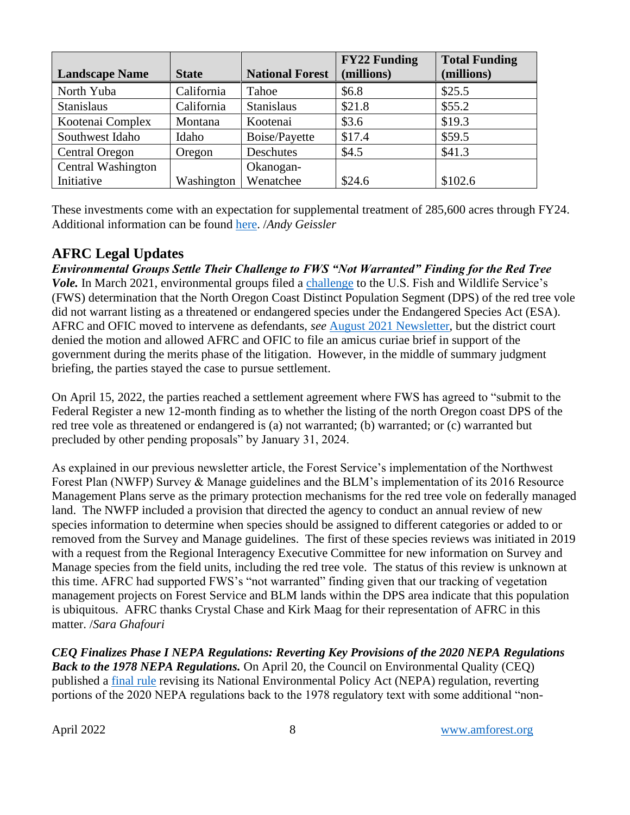|                       |              |                        | <b>FY22 Funding</b> | <b>Total Funding</b> |
|-----------------------|--------------|------------------------|---------------------|----------------------|
| <b>Landscape Name</b> | <b>State</b> | <b>National Forest</b> | (millions)          | (millions)           |
| North Yuba            | California   | Tahoe                  | \$6.8               | \$25.5               |
| <b>Stanislaus</b>     | California   | <b>Stanislaus</b>      | \$21.8              | \$55.2               |
| Kootenai Complex      | Montana      | Kootenai               | \$3.6               | \$19.3               |
| Southwest Idaho       | Idaho        | <b>Boise/Payette</b>   | \$17.4              | \$59.5               |
| <b>Central Oregon</b> | Oregon       | Deschutes              | \$4.5               | \$41.3               |
| Central Washington    |              | Okanogan-              |                     |                      |
| Initiative            | Washington   | Wenatchee              | \$24.6              | \$102.6              |

These investments come with an expectation for supplemental treatment of 285,600 acres through FY24. Additional information can be found [here.](https://www.fs.usda.gov/managing-land/wildfire-crisis/landscapes) /*Andy Geissler*

## **AFRC Legal Updates**

*Environmental Groups Settle Their Challenge to FWS "Not Warranted" Finding for the Red Tree Vole.* In March 2021, environmental groups filed a [challenge](https://www.courthousenews.com/wp-content/uploads/2021/03/Red_Tree_Vole_complaint_3-25-21.pdf) to the U.S. Fish and Wildlife Service's (FWS) determination that the North Oregon Coast Distinct Population Segment (DPS) of the red tree vole did not warrant listing as a threatened or endangered species under the Endangered Species Act (ESA). AFRC and OFIC moved to intervene as defendants, *see* [August 2021 Newsletter,](https://amforest.org/wp-content/uploads/2021/08/August-2021-Newsletter.pdf) but the district court denied the motion and allowed AFRC and OFIC to file an amicus curiae brief in support of the government during the merits phase of the litigation. However, in the middle of summary judgment briefing, the parties stayed the case to pursue settlement.

On April 15, 2022, the parties reached a settlement agreement where FWS has agreed to "submit to the Federal Register a new 12-month finding as to whether the listing of the north Oregon coast DPS of the red tree vole as threatened or endangered is (a) not warranted; (b) warranted; or (c) warranted but precluded by other pending proposals" by January 31, 2024.

As explained in our previous newsletter article, the Forest Service's implementation of the Northwest Forest Plan (NWFP) Survey & Manage guidelines and the BLM's implementation of its 2016 Resource Management Plans serve as the primary protection mechanisms for the red tree vole on federally managed land. The NWFP included a provision that directed the agency to conduct an annual review of new species information to determine when species should be assigned to different categories or added to or removed from the Survey and Manage guidelines. The first of these species reviews was initiated in 2019 with a request from the Regional Interagency Executive Committee for new information on Survey and Manage species from the field units, including the red tree vole. The status of this review is unknown at this time. AFRC had supported FWS's "not warranted" finding given that our tracking of vegetation management projects on Forest Service and BLM lands within the DPS area indicate that this population is ubiquitous. AFRC thanks Crystal Chase and Kirk Maag for their representation of AFRC in this matter. /*Sara Ghafouri*

*CEQ Finalizes Phase I NEPA Regulations: Reverting Key Provisions of the 2020 NEPA Regulations Back to the 1978 NEPA Regulations.* On April 20, the Council on Environmental Quality (CEQ) published a [final rule](https://www.govinfo.gov/content/pkg/FR-2022-04-20/pdf/2022-08288.pdf) revising its National Environmental Policy Act (NEPA) regulation, reverting portions of the 2020 NEPA regulations back to the 1978 regulatory text with some additional "non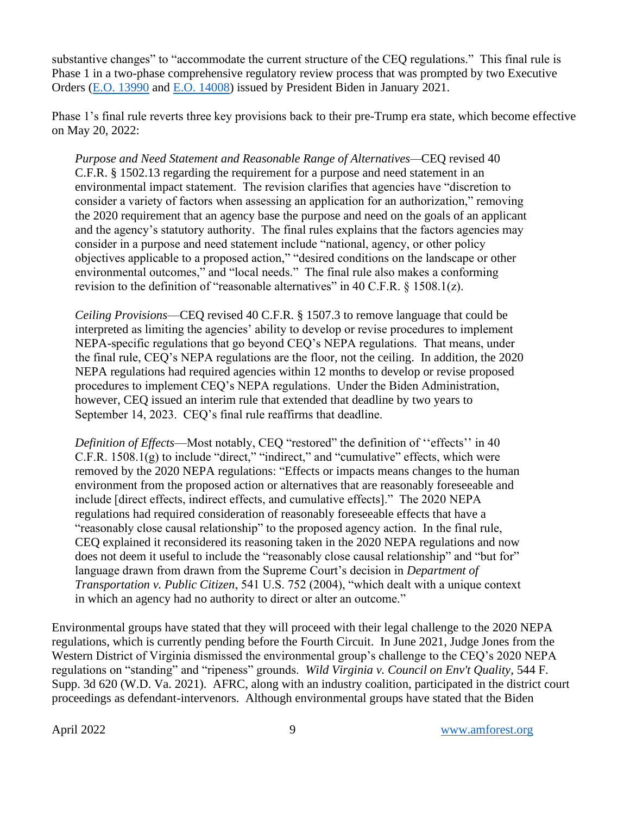substantive changes" to "accommodate the current structure of the CEQ regulations." This final rule is Phase 1 in a two-phase comprehensive regulatory review process that was prompted by two Executive Orders [\(E.O. 13990](https://www.federalregister.gov/documents/2021/01/25/2021-01765/protecting-public-health-and-the-environment-and-restoring-science-to-tackle-the-climate-crisis) and [E.O. 14008\)](https://www.federalregister.gov/documents/2021/02/01/2021-02177/tackling-the-climate-crisis-at-home-and-abroad) issued by President Biden in January 2021.

Phase 1's final rule reverts three key provisions back to their pre-Trump era state, which become effective on May 20, 2022:

*Purpose and Need Statement and Reasonable Range of Alternatives—*CEQ revised 40 C.F.R. § 1502.13 regarding the requirement for a purpose and need statement in an environmental impact statement. The revision clarifies that agencies have "discretion to consider a variety of factors when assessing an application for an authorization," removing the 2020 requirement that an agency base the purpose and need on the goals of an applicant and the agency's statutory authority. The final rules explains that the factors agencies may consider in a purpose and need statement include "national, agency, or other policy objectives applicable to a proposed action," "desired conditions on the landscape or other environmental outcomes," and "local needs." The final rule also makes a conforming revision to the definition of "reasonable alternatives" in 40 C.F.R. § 1508.1(z).

*Ceiling Provisions*—CEQ revised 40 C.F.R. § 1507.3 to remove language that could be interpreted as limiting the agencies' ability to develop or revise procedures to implement NEPA-specific regulations that go beyond CEQ's NEPA regulations. That means, under the final rule, CEQ's NEPA regulations are the floor, not the ceiling. In addition, the 2020 NEPA regulations had required agencies within 12 months to develop or revise proposed procedures to implement CEQ's NEPA regulations. Under the Biden Administration, however, CEQ issued an interim rule that extended that deadline by two years to September 14, 2023. CEQ's final rule reaffirms that deadline.

*Definition of Effects*—Most notably, CEQ "restored" the definition of ''effects'' in 40 C.F.R. 1508.1(g) to include "direct," "indirect," and "cumulative" effects, which were removed by the 2020 NEPA regulations: "Effects or impacts means changes to the human environment from the proposed action or alternatives that are reasonably foreseeable and include [direct effects, indirect effects, and cumulative effects]." The 2020 NEPA regulations had required consideration of reasonably foreseeable effects that have a "reasonably close causal relationship" to the proposed agency action. In the final rule, CEQ explained it reconsidered its reasoning taken in the 2020 NEPA regulations and now does not deem it useful to include the "reasonably close causal relationship" and "but for" language drawn from drawn from the Supreme Court's decision in *Department of Transportation v. Public Citizen*, 541 U.S. 752 (2004), "which dealt with a unique context in which an agency had no authority to direct or alter an outcome."

Environmental groups have stated that they will proceed with their legal challenge to the 2020 NEPA regulations, which is currently pending before the Fourth Circuit. In June 2021, Judge Jones from the Western District of Virginia dismissed the environmental group's challenge to the CEQ's 2020 NEPA regulations on "standing" and "ripeness" grounds. *Wild Virginia v. Council on Env't Quality*, 544 F. Supp. 3d 620 (W.D. Va. 2021). AFRC, along with an industry coalition, participated in the district court proceedings as defendant-intervenors. Although environmental groups have stated that the Biden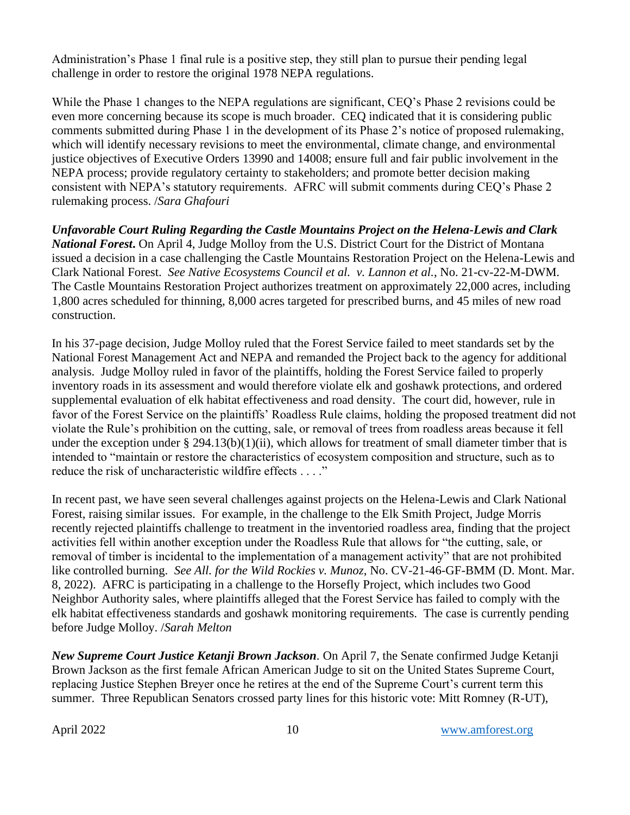Administration's Phase 1 final rule is a positive step, they still plan to pursue their pending legal challenge in order to restore the original 1978 NEPA regulations.

While the Phase 1 changes to the NEPA regulations are significant, CEQ's Phase 2 revisions could be even more concerning because its scope is much broader. CEQ indicated that it is considering public comments submitted during Phase 1 in the development of its Phase 2's notice of proposed rulemaking, which will identify necessary revisions to meet the environmental, climate change, and environmental justice objectives of Executive Orders 13990 and 14008; ensure full and fair public involvement in the NEPA process; provide regulatory certainty to stakeholders; and promote better decision making consistent with NEPA's statutory requirements. AFRC will submit comments during CEQ's Phase 2 rulemaking process. /*Sara Ghafouri*

*Unfavorable Court Ruling Regarding the Castle Mountains Project on the Helena-Lewis and Clark National Forest***.** On April 4, Judge Molloy from the U.S. District Court for the District of Montana issued a decision in a case challenging the Castle Mountains Restoration Project on the Helena-Lewis and Clark National Forest. *See Native Ecosystems Council et al. v. Lannon et al.*, No. 21-cv-22-M-DWM*.* The Castle Mountains Restoration Project authorizes treatment on approximately 22,000 acres, including 1,800 acres scheduled for thinning, 8,000 acres targeted for prescribed burns, and 45 miles of new road construction.

In his 37-page decision, Judge Molloy ruled that the Forest Service failed to meet standards set by the National Forest Management Act and NEPA and remanded the Project back to the agency for additional analysis. Judge Molloy ruled in favor of the plaintiffs, holding the Forest Service failed to properly inventory roads in its assessment and would therefore violate elk and goshawk protections, and ordered supplemental evaluation of elk habitat effectiveness and road density. The court did, however, rule in favor of the Forest Service on the plaintiffs' Roadless Rule claims, holding the proposed treatment did not violate the Rule's prohibition on the cutting, sale, or removal of trees from roadless areas because it fell under the exception under § 294.13(b)(1)(ii), which allows for treatment of small diameter timber that is intended to "maintain or restore the characteristics of ecosystem composition and structure, such as to reduce the risk of uncharacteristic wildfire effects . . . ."

In recent past, we have seen several challenges against projects on the Helena-Lewis and Clark National Forest, raising similar issues. For example, in the challenge to the Elk Smith Project, Judge Morris recently rejected plaintiffs challenge to treatment in the inventoried roadless area, finding that the project activities fell within another exception under the Roadless Rule that allows for "the cutting, sale, or removal of timber is incidental to the implementation of a management activity" that are not prohibited like controlled burning. *See All. for the Wild Rockies v. Munoz*, No. CV-21-46-GF-BMM (D. Mont. Mar. 8, 2022). AFRC is participating in a challenge to the Horsefly Project, which includes two Good Neighbor Authority sales, where plaintiffs alleged that the Forest Service has failed to comply with the elk habitat effectiveness standards and goshawk monitoring requirements. The case is currently pending before Judge Molloy. /*Sarah Melton*

*New Supreme Court Justice Ketanji Brown Jackson.* On April 7, the Senate confirmed Judge Ketanji Brown Jackson as the first female African American Judge to sit on the United States Supreme Court, replacing Justice Stephen Breyer once he retires at the end of the Supreme Court's current term this summer. Three Republican Senators crossed party lines for this historic vote: Mitt Romney (R-UT),